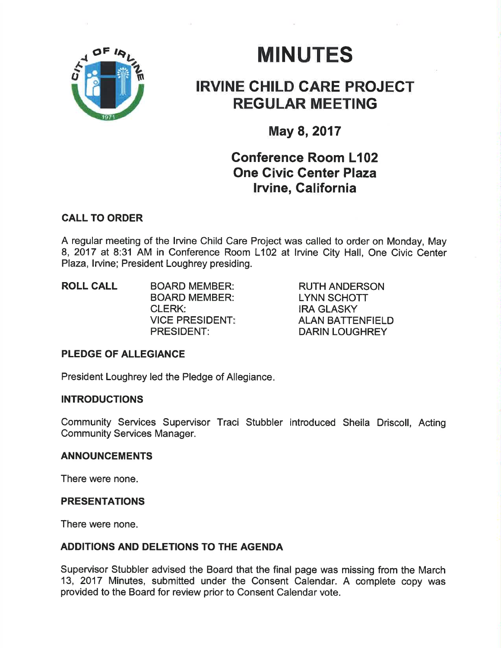

# **MINUTES**

## IRVINE CHILD CARE PROJEGT REGULAR MEETING

## May 8,2017

## Conference Room L102 One Givic Center Plaza lrvine, California

### CALL TO ORDER

A regular meeting of the lrvine Child Care Project was called to order on Monday, May 8, 2017 at 8:31 AM in Conference Room L1O2 at lrvine City Hall, One Civic Center Plaza, lrvine; President Loughrey presiding.

ROLL CALL BOARD MEMBER: BOARD MEMBER: CLERK: VICE PRESIDENT: PRESIDENT:

RUTH ANDERSON LYNN SCHOTT IRA GLASKY ALAN BATTENFIELD DARIN LOUGHREY

#### PLEDGE OF ALLEGIANCE

President Loughrey led the Pledge of Allegiance

#### INTRODUCTIONS

Community Services Supervisor Traci Stubbler introduced Sheila Driscoll, Acting Community Services Manager.

#### ANNOUNCEMENTS

There were none.

#### PRESENTATIONS

There were none.

#### ADDITIONS AND DELETIONS TO THE AGENDA

Supervisor Stubbler advised the Board that the final page was missing from the March 13, 2017 Minutes, submitted under the Consent Calendar. A complete copy was provided to the Board for review prior to Consent Calendar vote.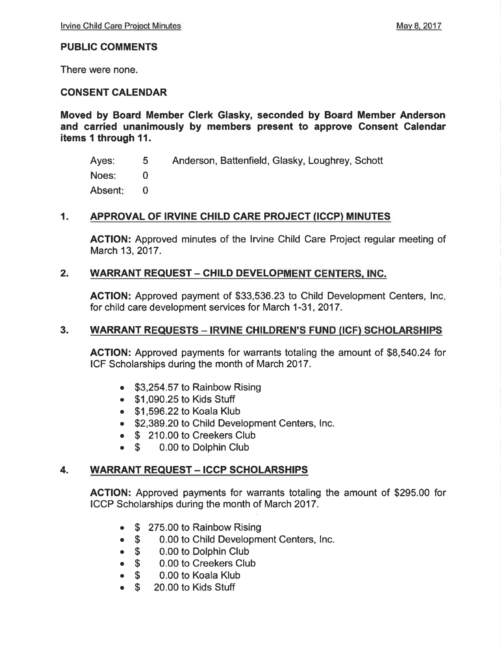#### PUBLIC COMMENTS

There were none.

#### CONSENT CALENDAR

Moved by Board Member Clerk Glasky, seconded by Board Member Anderson and carried unanimously by members present to approve Gonsent Calendar items I through 11.

Ayes: Noes: Absent Anderson, Battenfield, Glasky, Loughrey, Schott 5 0 0

#### 1. APPROVAL OF IRVINE CHILD CARE PROJECT (ICCP) MINUTES

ACTION: Approved minutes of the Irvine Child Care Project regular meeting of March 13,2017.

#### 2. WARRANT REQUEST - CHILD DEVELOPMENT CENTERS, INC.

**ACTION:** Approved payment of \$33,536.23 to Child Development Centers, Inc. for child care development services for March 1-31,2017.

#### 3. WARRANT REQUESTS - IRVINE CHILDREN'S FUND (ICF) SCHOLARSHIPS

AGTION: Approved payments for warrants totaling the amount of \$8,540.24 for ICF Scholarships during the month of March 2017.

- \$3,254.57 to Rainbow Rising
- . \$1,090.25 to Kids Stuff
- . \$1 ,596.22 to Koala Klub
- \$2,389.20 to Child Development Centers, Inc.
- **S** 210.00 to Creekers Club<br> **S** 0.00 to Dolphin Club
- 0.00 to Dolphin Club

#### 4. WARRANT REQUEST - ICCP SCHOLARSHIPS

ACTION: Approved payments for warrants totaling the amount of \$295.00 for ICCP Scholarships during the month of March 2017.

- \$ 275.00 to Rainbow Rising<br>● \$ 0.00 to Child Developm
- \$ 0.00 to Child Development Centers, Inc.<br>• \$ 0.00 to Dolphin Club
- o \$ 0.00 to Dolphin Club
- **S** 0.00 to Creekers Club<br>**S** 0.00 to Koala Klub
- \$ 0.00 to Koala Klub<br>● \$ 20.00 to Kids Stuff
- 20.00 to Kids Stuff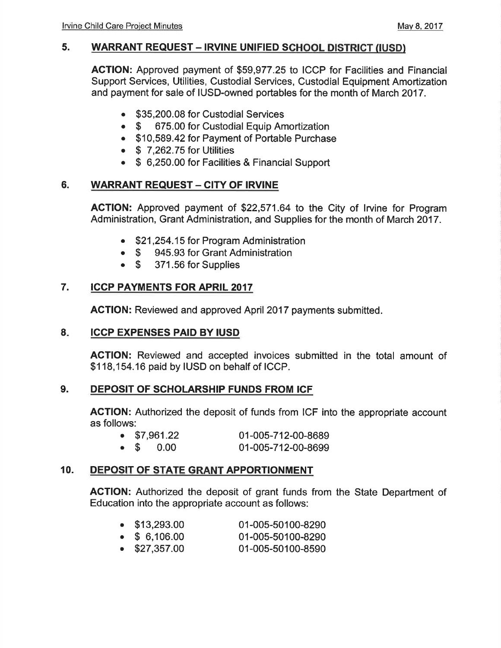#### 5. WARRANT REQUEST - IRVINE UNIFIED SCHOOL DISTRICT (IUSD)

ACTION: Approved payment of \$59,977.25 to ICCP for Facilities and Financial Support Services, Utilities, Custodial Services, Custodial Equipment Amortization and payment for sale of IUSD-owned portables for the month of March 2017.

- . \$35,200.08 for Custodial Services
- \$ 675.00 for Custodial Equip Amortization
- . \$10,589.42 for Payment of Portable Purchase
- $\bullet$  \$ 7,262.75 for Utilities
- . \$ 6,250.00 for Facilities & Financial Support

#### 6. WARRANT REQUEST - CITY OF IRVINE

AGTION: Approved payment of \$22,571.64 to the City of lrvine for Program Administration, Grant Administration, and Supplies for the month of March 2017.

- . \$21 ,254.15 for Program Administration
- \$ 945.93 for Grant Administration<br>• \$ 371.56 for Supplies
- 371.56 for Supplies

#### 7. ICCP PAYMENTS FOR APRIL 2017

AGTION: Reviewed and approved April 2017 payments submitted.

#### $B_{\star}$ IGCP EXPENSES PAID BY IUSD

ACTION: Reviewed and accepted invoices submitted in the total amount of \$118,154.16 paid by IUSD on behalf of ICCP.

#### 9. DEPOSIT OF SCHOLARSHIP FUNDS FROM ICF

AGTION: Authorized the deposit of funds from ICF into the appropriate account as follows:

| . |  |                      |                    |  |
|---|--|----------------------|--------------------|--|
|   |  | $\bullet$ \$7,961.22 | 01-005-712-00-8689 |  |
|   |  | $\bullet$ \$ 0.00    | 01-005-712-00-8699 |  |

#### 10. DEPOSIT OF STATE GRANT APPORTIONMENT

ACTION: Authorized the deposit of grant funds from the State Department of Education into the appropriate account as follows:

| $\bullet$ \$13,293.00 | 01-005-50100-8290 |
|-----------------------|-------------------|
| $\bullet$ \$ 6,106.00 | 01-005-50100-8290 |
| $\sim$ 007.057.00     | 04 AOE EO400 OEOO |

 $\bullet$  \$27,357.00 01-005-50100-8590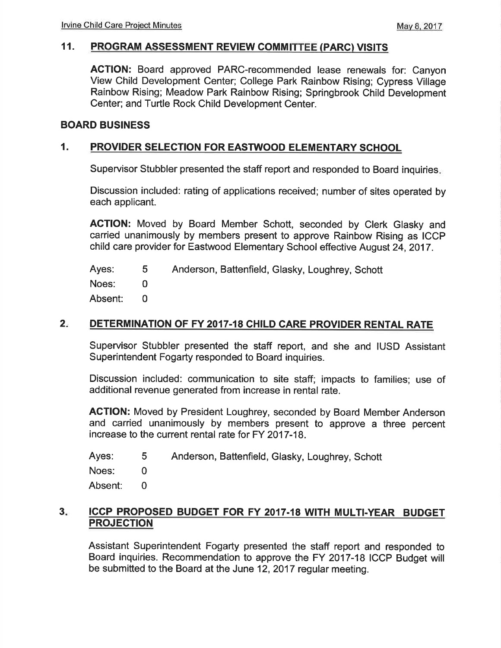#### 11. PROGRAM ASSESSMENT REVIEW COMMITTEE (PARC) VISITS

ACTION: Board approved PARC-recommended lease renewals for: Canyon View Child Development Center; College Park Rainbow Rising; Cypress Village Rainbow Rising; Meadow Park Rainbow Rising; Springbrook Child Development Center; and Turtle Rock Child Development Center.

#### BOARD BUSINESS

#### 1. PROVIDER SELECTION FOR EASTWOOD ELEMENTARY SCHOOL

Supervisor Stubbler presented the staff report and responded to Board inquiries

Discussion included: rating of applications received; number of sites operated by each applicant.

AGTION: Moved by Board Member Schott, seconded by Clerk Glasky and carried unanimously by members present to approve Rainbow Rising as ICCP child care provider for Eastwood Elementary School effective August 24,2017.

Ayes: Noes: Absent: Anderson, Battenfield, Glasky, Loughrey, Schott 5 0 0

#### DETERMINATION OF FY 2017-18 CHILD CARE PROVIDER RENTAL RATE  $2<sub>1</sub>$

Supervisor Stubbler presented the staff report, and she and IUSD Assistant Superintendent Fogarty responded to Board inquiries.

Discussion included: communication to site staff; impacts to families; use of additional revenue generated from increase in rental rate.

ACTION: Moved by President Loughrey, seconded by Board Member Anderson and carried unanimously by members present to approve a three percent increase to the current rental rate for FY 2017-18.

Ayes: Anderson, Battenfield, Glasky, Loughrey, Schott 5

Noes: 0

Absent: 0

#### ICCP PROPOSED BUDGET FOR FY 2017.18 WITH MULTI.YEAR BUDGET PROJECTION  $3<sub>ii</sub>$

Assistant Superintendent Fogarty presented the staff report and responded to Board inquiries. Recommendation to approve the FY 2017-18 ICCP Budget will be submitted to the Board at the June 12,2017 regular meeting.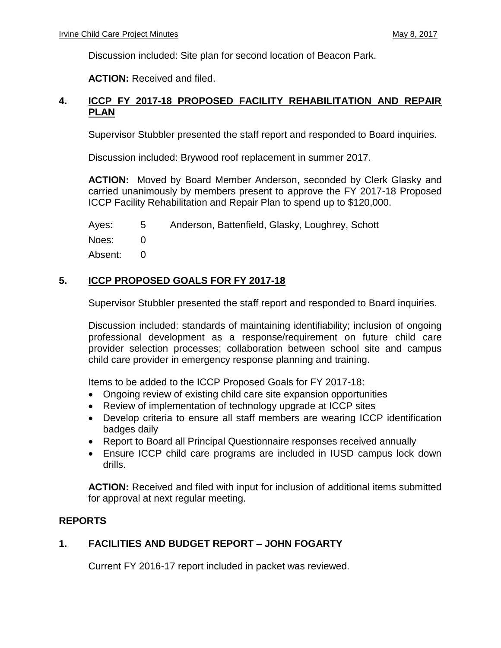Discussion included: Site plan for second location of Beacon Park.

**ACTION:** Received and filed.

#### **4. ICCP FY 2017-18 PROPOSED FACILITY REHABILITATION AND REPAIR PLAN**

Supervisor Stubbler presented the staff report and responded to Board inquiries.

Discussion included: Brywood roof replacement in summer 2017.

**ACTION:** Moved by Board Member Anderson, seconded by Clerk Glasky and carried unanimously by members present to approve the FY 2017-18 Proposed ICCP Facility Rehabilitation and Repair Plan to spend up to \$120,000.

Ayes: 5 Anderson, Battenfield, Glasky, Loughrey, Schott

Noes: 0

Absent: 0

#### **5. ICCP PROPOSED GOALS FOR FY 2017-18**

Supervisor Stubbler presented the staff report and responded to Board inquiries.

Discussion included: standards of maintaining identifiability; inclusion of ongoing professional development as a response/requirement on future child care provider selection processes; collaboration between school site and campus child care provider in emergency response planning and training.

Items to be added to the ICCP Proposed Goals for FY 2017-18:

- Ongoing review of existing child care site expansion opportunities
- Review of implementation of technology upgrade at ICCP sites
- Develop criteria to ensure all staff members are wearing ICCP identification badges daily
- Report to Board all Principal Questionnaire responses received annually
- Ensure ICCP child care programs are included in IUSD campus lock down drills.

**ACTION:** Received and filed with input for inclusion of additional items submitted for approval at next regular meeting.

#### **REPORTS**

### **1. FACILITIES AND BUDGET REPORT – JOHN FOGARTY**

Current FY 2016-17 report included in packet was reviewed.